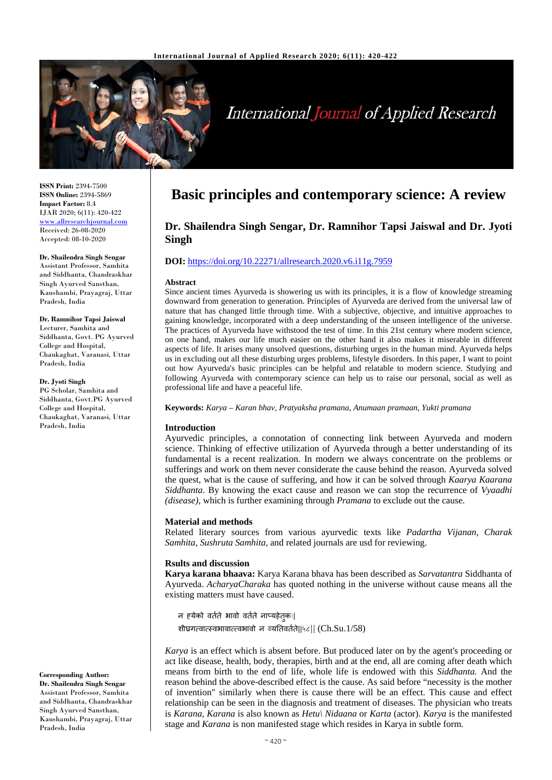

# **International Journal of Applied Research**

**ISSN Print:** 2394-7500 **ISSN Online:** 2394-5869 **Impact Factor:** 8.4 IJAR 2020; 6(11): 420-422 www.allresearchjournal.com Received: 26-08-2020 Accepted: 08-10-2020

**Dr. Shailendra Singh Sengar** Assistant Professor, Samhita and Siddhanta, Chandraskhar Singh Ayurved Sansthan, Kaushambi, Prayagraj, Uttar Pradesh, India

**Dr. Ramnihor Tapsi Jaiswal** Lecturer, Samhita and Siddhanta, Govt. PG Ayurved College and Hospital, Chaukaghat, Varanasi, Uttar Pradesh, India

**Dr. Jyoti Singh**

PG Scholar, Samhita and Siddhanta, Govt.PG Ayurved College and Hospital, Chaukaghat, Varanasi, Uttar Pradesh, India

**Corresponding Author:**

**Dr. Shailendra Singh Sengar** Assistant Professor, Samhita and Siddhanta, Chandraskhar Singh Ayurved Sansthan, Kaushambi, Prayagraj, Uttar Pradesh, India

## **Basic principles and contemporary science: A review**

### **Dr. Shailendra Singh Sengar, Dr. Ramnihor Tapsi Jaiswal and Dr. Jyoti Singh**

#### **DOI:** <https://doi.org/10.22271/allresearch.2020.v6.i11g.7959>

#### **Abstract**

Since ancient times Ayurveda is showering us with its principles, it is a flow of knowledge streaming downward from generation to generation. Principles of Ayurveda are derived from the universal law of nature that has changed little through time. With a subjective, objective, and intuitive approaches to gaining knowledge, incorporated with a deep understanding of the unseen intelligence of the universe. The practices of Ayurveda have withstood the test of time. In this 21st century where modern science, on one hand, makes our life much easier on the other hand it also makes it miserable in different aspects of life. It arises many unsolved questions, disturbing urges in the human mind. Ayurveda helps us in excluding out all these disturbing urges problems, lifestyle disorders. In this paper, I want to point out how Ayurveda's basic principles can be helpful and relatable to modern science. Studying and following Ayurveda with contemporary science can help us to raise our personal, social as well as professional life and have a peaceful life.

**Keywords:** *Karya – Karan bhav, Pratyaksha pramana, Anumaan pramaan, Yukti pramana*

#### **Introduction**

Ayurvedic principles, a connotation of connecting link between Ayurveda and modern science. Thinking of effective utilization of Ayurveda through a better understanding of its fundamental is a recent realization. In modern we always concentrate on the problems or sufferings and work on them never considerate the cause behind the reason. Ayurveda solved the quest, what is the cause of suffering, and how it can be solved through *Kaarya Kaarana Siddhanta*. By knowing the exact cause and reason we can stop the recurrence of *Vyaadhi (disease)*, which is further examining through *Pramana* to exclude out the cause.

#### **Material and methods**

Related literary sources from various ayurvedic texts like *Padartha Vijanan, Charak Samhita, Sushruta Samhita*, and related journals are usd for reviewing.

#### **Rsults and discussion**

**Karya karana bhaava:** Karya Karana bhava has been described as *Sarvatantra* Siddhanta of Ayurveda. *AcharyaCharaka* has quoted nothing in the universe without cause means all the existing matters must have caused.

न ह्येको वतर्ते भावो वतर्ते नाप्यहेतु कः| शीघ्रगत्वात्स्वभावात्त्वभावो न व्य�तवतर्ते||*५८||* (Ch.Su.1/58)

*Karya* is an effect which is absent before. But produced later on by the agent's proceeding or act like disease, health, body, therapies, birth and at the end, all are coming after death which means from birth to the end of life, whole life is endowed with this *Siddhanta.* And the reason behind the above-described effect is the cause. As said before "necessity is the mother of invention" similarly when there is cause there will be an effect. This cause and effect relationship can be seen in the diagnosis and treatment of diseases. The physician who treats is *Karana, Karana* is also known as *Hetu\ Nidaana* or *Karta* (actor). *Karya* is the manifested stage and *Karana* is non manifested stage which resides in Karya in subtle form.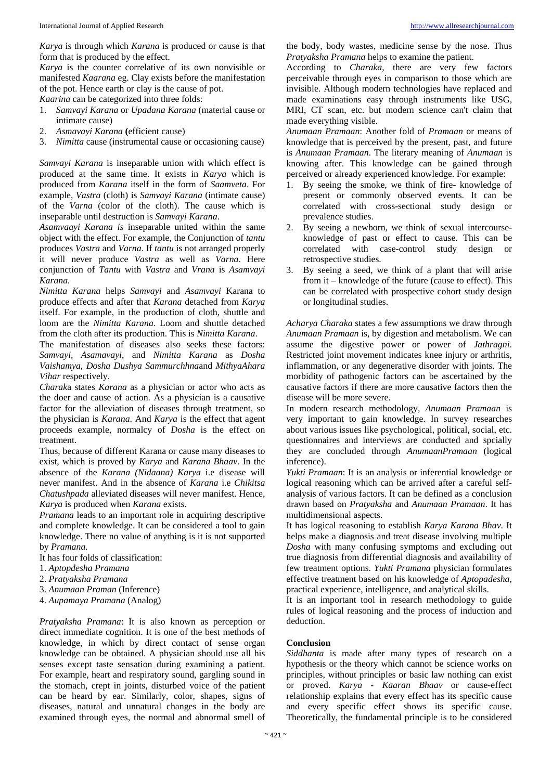*Karya* is through which *Karana* is produced or cause is that form that is produced by the effect.

*Karya* is the counter correlative of its own nonvisible or manifested *Kaarana* eg. Clay exists before the manifestation of the pot. Hence earth or clay is the cause of pot.

*Kaarina* can be categorized into three folds:

- 1. *Samvayi Karana* or *Upadana Karana* (material cause or intimate cause)
- 2. *Asmavayi Karana* **(**efficient cause)
- 3. *Nimitta* cause (instrumental cause or occasioning cause)

*Samvayi Karana* is inseparable union with which effect is produced at the same time. It exists in *Karya* which is produced from *Karana* itself in the form of *Saamveta*. For example, *Vastra* (cloth) is *Samvayi Karana* (intimate cause) of the *Varna* (color of the cloth). The cause which is inseparable until destruction is *Samvayi Karana*.

*Asamvaayi Karana is* inseparable united within the same object with the effect. For example, the Conjunction of *tantu* produces *Vastra* and *Varna*. If *tantu* is not arranged properly it will never produce *Vastra* as well as *Varna*. Here conjunction of *Tantu* with *Vastra* and *Vrana* is *Asamvayi Karana.*

*Nimitta Karana* helps *Samvayi* and *Asamvayi* Karana to produce effects and after that *Karana* detached from *Karya* itself. For example, in the production of cloth, shuttle and loom are the *Nimitta Karana*. Loom and shuttle detached from the cloth after its production. This is *Nimitta Karana*.

The manifestation of diseases also seeks these factors: *Samvayi, Asamavayi*, and *Nimitta Karana* as *Dosha Vaishamya, Dosha Dushya Sammurchhna*and *MithyaAhara Vihar* respectively.

*Charak*a states *Karana* as a physician or actor who acts as the doer and cause of action. As a physician is a causative factor for the alleviation of diseases through treatment, so the physician is *Karana*. And *Karya* is the effect that agent proceeds example, normalcy of *Dosha* is the effect on treatment.

Thus, because of different Karana or cause many diseases to exist, which is proved by *Karya* and *Karana Bhaav*. In the absence of the *Karana (Nidaana) Karya* i.e disease will never manifest. And in the absence of *Karana* i.e *Chikitsa Chatushpada* alleviated diseases will never manifest. Hence*, Karya* is produced when *Karana* exists.

*Pramana* leads to an important role in acquiring descriptive and complete knowledge. It can be considered a tool to gain knowledge. There no value of anything is it is not supported by *Pramana.*

It has four folds of classification:

- 1. *Aptopdesha Pramana*
- 2. *Pratyaksha Pramana*
- 3. *Anumaan Praman* (Inference)
- 4. *Aupamaya Pramana* (Analog)

*Pratyaksha Pramana*: It is also known as perception or direct immediate cognition. It is one of the best methods of knowledge, in which by direct contact of sense organ knowledge can be obtained. A physician should use all his senses except taste sensation during examining a patient. For example, heart and respiratory sound, gargling sound in the stomach, crept in joints, disturbed voice of the patient can be heard by ear. Similarly, color, shapes, signs of diseases, natural and unnatural changes in the body are examined through eyes, the normal and abnormal smell of the body, body wastes, medicine sense by the nose. Thus *Pratyaksha Pramana* helps to examine the patient.

According to *Charaka*, there are very few factors perceivable through eyes in comparison to those which are invisible. Although modern technologies have replaced and made examinations easy through instruments like USG, MRI, CT scan, etc. but modern science can't claim that made everything visible.

*Anumaan Pramaan*: Another fold of *Pramaan* or means of knowledge that is perceived by the present, past, and future is *Anumaan Pramaan*. The literary meaning of *Anumaan* is knowing after. This knowledge can be gained through perceived or already experienced knowledge. For example:

- By seeing the smoke, we think of fire- knowledge of present or commonly observed events. It can be correlated with cross-sectional study design or prevalence studies.
- 2. By seeing a newborn, we think of sexual intercourseknowledge of past or effect to cause. This can be correlated with case-control study design or retrospective studies.
- 3. By seeing a seed, we think of a plant that will arise from it – knowledge of the future (cause to effect). This can be correlated with prospective cohort study design or longitudinal studies.

*Acharya Charaka* states a few assumptions we draw through *Anumaan Pramaan* is, by digestion and metabolism. We can assume the digestive power or power of *Jathragni*. Restricted joint movement indicates knee injury or arthritis, inflammation, or any degenerative disorder with joints. The morbidity of pathogenic factors can be ascertained by the causative factors if there are more causative factors then the disease will be more severe.

In modern research methodology, *Anumaan Pramaan* is very important to gain knowledge. In survey researches about various issues like psychological, political, social, etc. questionnaires and interviews are conducted and spcially they are concluded through *AnumaanPramaan* (logical inference).

*Yukti Pramaan*: It is an analysis or inferential knowledge or logical reasoning which can be arrived after a careful selfanalysis of various factors. It can be defined as a conclusion drawn based on *Pratyaksha* and *Anumaan Pramaan*. It has multidimensional aspects.

It has logical reasoning to establish *Karya Karana Bhav*. It helps make a diagnosis and treat disease involving multiple *Dosha* with many confusing symptoms and excluding out true diagnosis from differential diagnosis and availability of few treatment options. *Yukti Pramana* physician formulates effective treatment based on his knowledge of *Aptopadesha*, practical experience, intelligence, and analytical skills.

It is an important tool in research methodology to guide rules of logical reasoning and the process of induction and deduction.

#### **Conclusion**

*Siddhanta* is made after many types of research on a hypothesis or the theory which cannot be science works on principles, without principles or basic law nothing can exist or proved. *Karya - Kaaran Bhaav* or cause-effect relationship explains that every effect has its specific cause and every specific effect shows its specific cause. Theoretically, the fundamental principle is to be considered